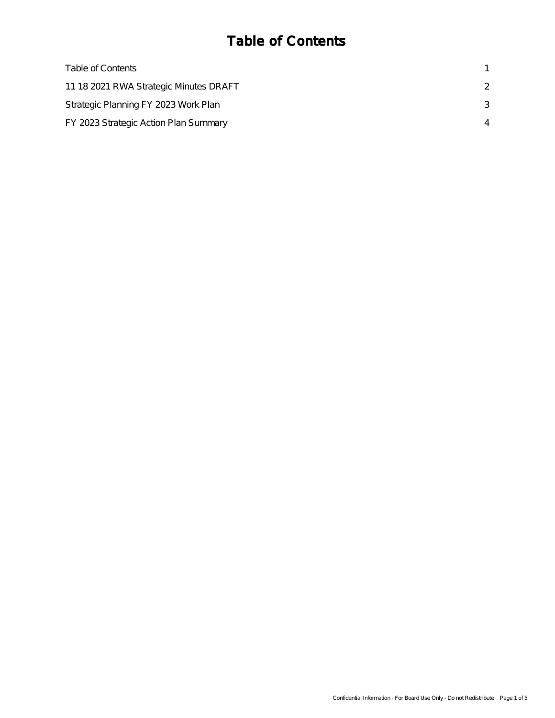#### Table of Contents

| Table of Contents                      |               |
|----------------------------------------|---------------|
| 11 18 2021 RWA Strategic Minutes DRAFT | $\mathcal{P}$ |
| Strategic Planning FY 2023 Work Plan   | 3             |
| FY 2023 Strategic Action Plan Summary  |               |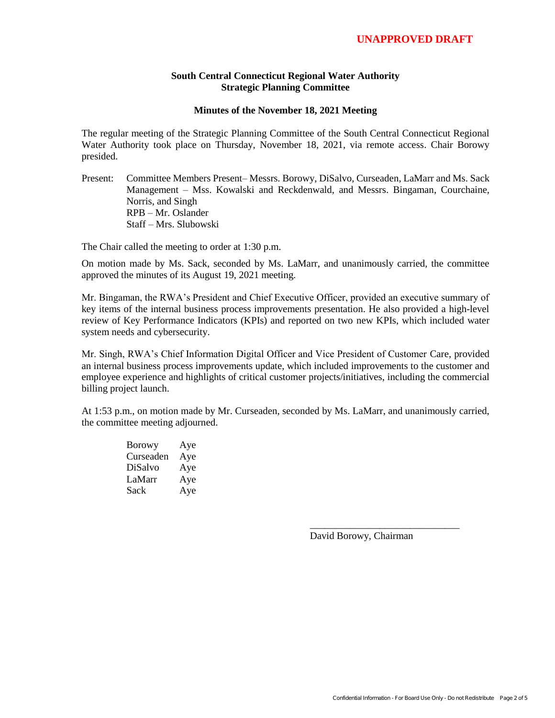#### **South Central Connecticut Regional Water Authority Strategic Planning Committee**

#### **Minutes of the November 18, 2021 Meeting**

<span id="page-1-0"></span>The regular meeting of the Strategic Planning Committee of the South Central Connecticut Regional Water Authority took place on Thursday, November 18, 2021, via remote access. Chair Borowy presided.

Present: Committee Members Present– Messrs. Borowy, DiSalvo, Curseaden, LaMarr and Ms. Sack Management – Mss. Kowalski and Reckdenwald, and Messrs. Bingaman, Courchaine, Norris, and Singh RPB – Mr. Oslander Staff – Mrs. Slubowski

The Chair called the meeting to order at 1:30 p.m.

On motion made by Ms. Sack, seconded by Ms. LaMarr, and unanimously carried, the committee approved the minutes of its August 19, 2021 meeting.

Mr. Bingaman, the RWA's President and Chief Executive Officer, provided an executive summary of key items of the internal business process improvements presentation. He also provided a high-level review of Key Performance Indicators (KPIs) and reported on two new KPIs, which included water system needs and cybersecurity.

Mr. Singh, RWA's Chief Information Digital Officer and Vice President of Customer Care, provided an internal business process improvements update, which included improvements to the customer and employee experience and highlights of critical customer projects/initiatives, including the commercial billing project launch.

At 1:53 p.m., on motion made by Mr. Curseaden, seconded by Ms. LaMarr, and unanimously carried, the committee meeting adjourned.

| <b>Borowy</b> | Aye |
|---------------|-----|
| Curseaden     | Aye |
| DiSalvo       | Aye |
| LaMarr        | Aye |
| Sack          | Aye |

David Borowy, Chairman

\_\_\_\_\_\_\_\_\_\_\_\_\_\_\_\_\_\_\_\_\_\_\_\_\_\_\_\_\_\_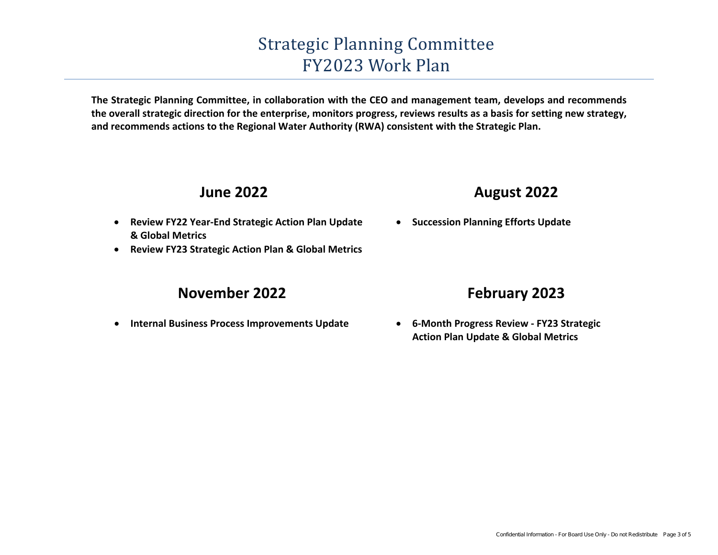## Strategic Planning Committee FY2023Work Plan

<span id="page-2-0"></span>**The Strategic Planning Committee, in collaboration with the CEO and management team, develops and recommends the overall strategic direction for the enterprise, monitors progress, reviews results as a basis for setting new strategy, and recommends actions to the Regional Water Authority (RWA) consistent with the Strategic Plan.** 

#### **June 2022**

- **Review FY22 Year-End Strategic Action Plan Update& Global Metrics**
- **Review FY23 Strategic Action Plan & Global Metrics** •

#### **November <sup>202</sup>2**

 $\bullet$ **Internal Business Process Improvements Update**

### **August <sup>202</sup>2**

**• Succession Planning Efforts Update** 

#### **February 2023**

• **6‐Month Progress Review ‐ FY23 StrategicAction Plan Update & Global Metrics**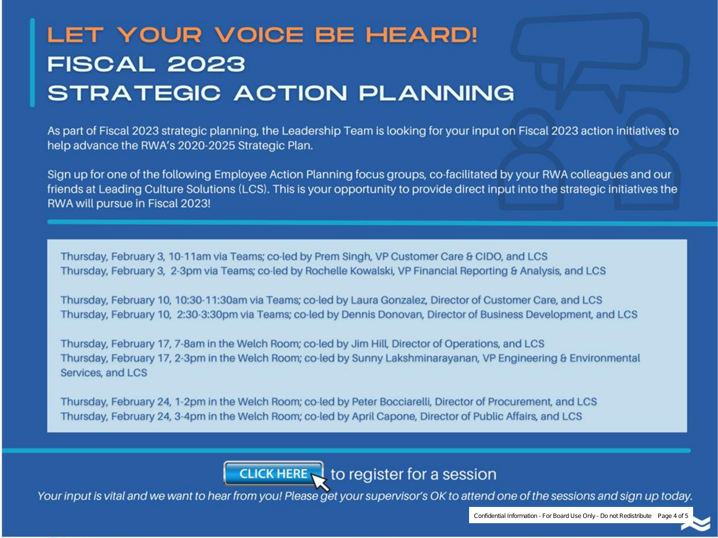## <span id="page-3-0"></span>LET YOUR VOICE BE HEARD! **FISCAL 2023 STRATEGIC ACTION PLANNING**

As part of Fiscal 2023 strategic planning, the Leadership Team is looking for your input on Fiscal 2023 action initiatives to help advance the RWA's 2020-2025 Strategic Plan.

Sign up for one of the following Employee Action Planning focus groups, co-facilitated by your RWA colleagues and our friends at Leading Culture Solutions (LCS). This is your opportunity to provide direct input into the strategic initiatives the RWA will pursue in Fiscal 2023!

Thursday, February 3, 10-11am via Teams; co-led by Prem Singh, VP Customer Care & CIDO, and LCS Thursday, February 3, 2-3pm via Teams; co-led by Rochelle Kowalski, VP Financial Reporting & Analysis, and LCS

Thursday, February 10, 10:30-11:30am via Teams; co-led by Laura Gonzalez, Director of Customer Care, and LCS Thursday, February 10, 2:30-3:30pm via Teams; co-led by Dennis Donovan, Director of Business Development, and LCS

Thursday, February 17, 7-8am in the Welch Room; co-led by Jim Hill, Director of Operations, and LCS Thursday, February 17, 2-3pm in the Welch Room; co-led by Sunny Lakshminarayanan, VP Engineering & Environmental Services, and LCS

Thursday, February 24, 1-2pm in the Welch Room; co-led by Peter Bocciarelli, Director of Procurement, and LCS Thursday, February 24, 3-4pm in the Welch Room; co-led by April Capone, Director of Public Affairs, and LCS

CLICK HERE **t**o register for a session

Your input is vital and we want to hear from you! Please get your supervisor's OK to attend one of the sessions and sign up today.

Confidential Information - For Board Use Only - Do not Redistribute Page 4 of